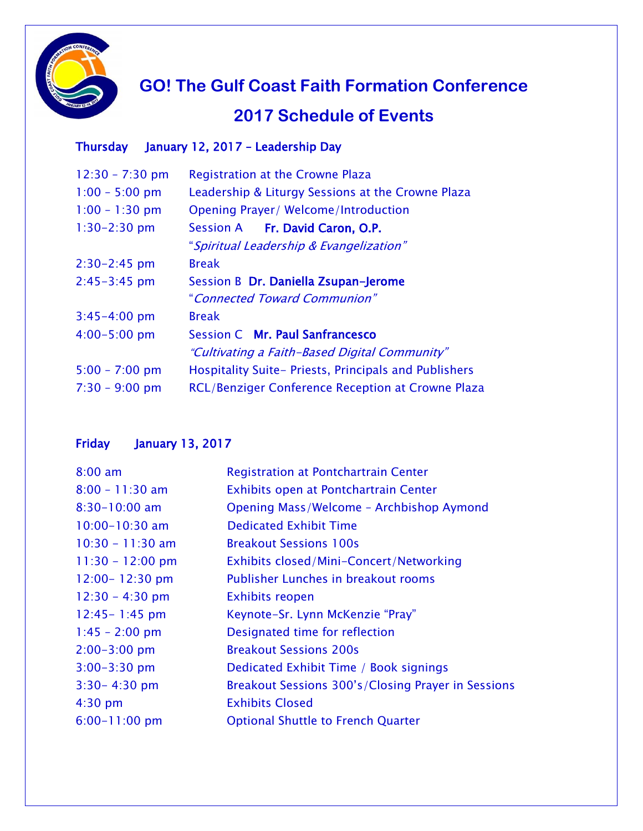

 **GO! The Gulf Coast Faith Formation Conference**

## **2017 Schedule of Events**

## Thursday January 12, 2017 – Leadership Day

| Registration at the Crowne Plaza                         |
|----------------------------------------------------------|
| Leadership & Liturgy Sessions at the Crowne Plaza        |
| <b>Opening Prayer/ Welcome/Introduction</b>              |
| Session A Fr. David Caron, O.P.                          |
| "Spiritual Leadership & Evangelization"                  |
| <b>Break</b>                                             |
| Session B Dr. Daniella Zsupan-Jerome                     |
| "Connected Toward Communion"                             |
| <b>Break</b>                                             |
| Session C Mr. Paul Sanfrancesco                          |
| "Cultivating a Faith-Based Digital Community"            |
| Hospitality Suite- Priests, Principals and Publishers    |
| <b>RCL/Benziger Conference Reception at Crowne Plaza</b> |
|                                                          |

## Friday January 13, 2017

| $8:00 \text{ am}$  | Registration at Pontchartrain Center               |
|--------------------|----------------------------------------------------|
| $8:00 - 11:30$ am  | Exhibits open at Pontchartrain Center              |
| $8:30-10:00$ am    | Opening Mass/Welcome - Archbishop Aymond           |
| $10:00 - 10:30$ am | <b>Dedicated Exhibit Time</b>                      |
| $10:30 - 11:30$ am | <b>Breakout Sessions 100s</b>                      |
| $11:30 - 12:00$ pm | Exhibits closed/Mini-Concert/Networking            |
| $12:00 - 12:30$ pm | Publisher Lunches in breakout rooms                |
| $12:30 - 4:30$ pm  | <b>Exhibits reopen</b>                             |
| $12:45 - 1:45$ pm  | Keynote-Sr. Lynn McKenzie "Pray"                   |
| $1:45 - 2:00$ pm   | Designated time for reflection                     |
| $2:00 - 3:00$ pm   | <b>Breakout Sessions 200s</b>                      |
| $3:00 - 3:30$ pm   | Dedicated Exhibit Time / Book signings             |
| $3:30 - 4:30$ pm   | Breakout Sessions 300's/Closing Prayer in Sessions |
| $4:30$ pm          | <b>Exhibits Closed</b>                             |
| $6:00 - 11:00$ pm  | <b>Optional Shuttle to French Quarter</b>          |